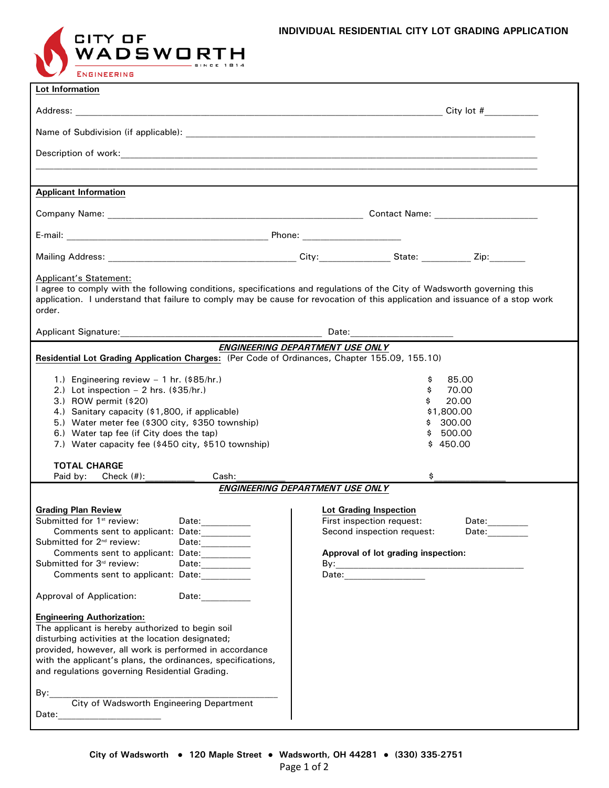

| Lot Information                                                                                                                                                                                                                                                                                                                                                                                                                                                                                                                                                                                                             |                                                                                                                                                                                |  |  |  |
|-----------------------------------------------------------------------------------------------------------------------------------------------------------------------------------------------------------------------------------------------------------------------------------------------------------------------------------------------------------------------------------------------------------------------------------------------------------------------------------------------------------------------------------------------------------------------------------------------------------------------------|--------------------------------------------------------------------------------------------------------------------------------------------------------------------------------|--|--|--|
|                                                                                                                                                                                                                                                                                                                                                                                                                                                                                                                                                                                                                             |                                                                                                                                                                                |  |  |  |
|                                                                                                                                                                                                                                                                                                                                                                                                                                                                                                                                                                                                                             |                                                                                                                                                                                |  |  |  |
|                                                                                                                                                                                                                                                                                                                                                                                                                                                                                                                                                                                                                             |                                                                                                                                                                                |  |  |  |
|                                                                                                                                                                                                                                                                                                                                                                                                                                                                                                                                                                                                                             |                                                                                                                                                                                |  |  |  |
| <b>Applicant Information</b>                                                                                                                                                                                                                                                                                                                                                                                                                                                                                                                                                                                                |                                                                                                                                                                                |  |  |  |
|                                                                                                                                                                                                                                                                                                                                                                                                                                                                                                                                                                                                                             |                                                                                                                                                                                |  |  |  |
|                                                                                                                                                                                                                                                                                                                                                                                                                                                                                                                                                                                                                             |                                                                                                                                                                                |  |  |  |
|                                                                                                                                                                                                                                                                                                                                                                                                                                                                                                                                                                                                                             |                                                                                                                                                                                |  |  |  |
| Applicant's Statement:<br>I agree to comply with the following conditions, specifications and regulations of the City of Wadsworth governing this<br>application. I understand that failure to comply may be cause for revocation of this application and issuance of a stop work<br>order.                                                                                                                                                                                                                                                                                                                                 |                                                                                                                                                                                |  |  |  |
|                                                                                                                                                                                                                                                                                                                                                                                                                                                                                                                                                                                                                             |                                                                                                                                                                                |  |  |  |
| ENGINEERING DEPARTMENT USE ONLY<br>Residential Lot Grading Application Charges: (Per Code of Ordinances, Chapter 155.09, 155.10)                                                                                                                                                                                                                                                                                                                                                                                                                                                                                            |                                                                                                                                                                                |  |  |  |
| 1.) Engineering review $-1$ hr. (\$85/hr.)<br>2.) Lot inspection $-$ 2 hrs. (\$35/hr.)<br>3.) ROW permit (\$20)<br>4.) Sanitary capacity (\$1,800, if applicable)<br>5.) Water meter fee (\$300 city, \$350 township)<br>6.) Water tap fee (if City does the tap)<br>7.) Water capacity fee (\$450 city, \$510 township)<br><b>TOTAL CHARGE</b>                                                                                                                                                                                                                                                                             | \$<br>85.00<br>\$<br>70.00<br>20.00<br>\$<br>\$1,800.00<br>300.00<br>500.00<br>\$.<br>\$450.00                                                                                 |  |  |  |
| Cash:<br>Paid by:<br>Check $(\#)$ :                                                                                                                                                                                                                                                                                                                                                                                                                                                                                                                                                                                         | \$<br>ENGINEERING DEPARTMENT USE ONLY                                                                                                                                          |  |  |  |
| <b>Grading Plan Review</b><br>Submitted for 1 <sup>st</sup> review:<br>Date:<br>Comments sent to applicant: Date:<br>Submitted for 2 <sup>nd</sup> review:<br>Date: _________<br>Comments sent to applicant: Date:___________<br>Submitted for 3rd review:<br>Date:__________<br>Comments sent to applicant: Date:<br>Date: and the state of the state of the state of the state of the state of the state of the state of the state of the state of the state of the state of the state of the state of the state of the state of the state of the<br><b>Approval of Application:</b><br><b>Engineering Authorization:</b> | Lot Grading Inspection<br>First inspection request:<br>Date:<br>Second inspection request:<br>Date:_________<br>Approval of lot grading inspection:<br>Date: _________________ |  |  |  |
| The applicant is hereby authorized to begin soil<br>disturbing activities at the location designated;<br>provided, however, all work is performed in accordance<br>with the applicant's plans, the ordinances, specifications,<br>and regulations governing Residential Grading.<br>By:<br><b>City of Wadsworth Engineering Department</b><br>Date: _________________________                                                                                                                                                                                                                                               |                                                                                                                                                                                |  |  |  |